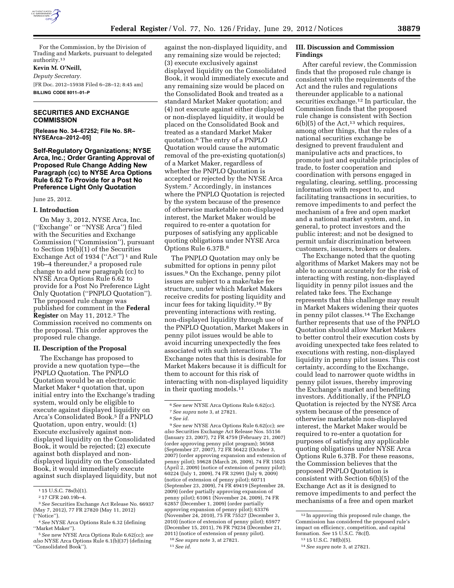

**III. Discussion and Commission** 

trade, to foster cooperation and coordination with persons engaged in regulating, clearing, settling, processing information with respect to, and facilitating transactions in securities, to remove impediments to and perfect the mechanism of a free and open market and a national market system, and, in general, to protect investors and the public interest; and not be designed to permit unfair discrimination between customers, issuers, brokers or dealers. The Exchange noted that the quoting algorithms of Market Makers may not be able to account accurately for the risk of interacting with resting, non-displayed liquidity in penny pilot issues and the related take fees. The Exchange

represents that this challenge may result in Market Makers widening their quotes in penny pilot classes.14 The Exchange further represents that use of the PNPLO Quotation should allow Market Makers to better control their execution costs by avoiding unexpected take fees related to executions with resting, non-displayed liquidity in penny pilot issues. This cost certainty, according to the Exchange, could lead to narrower quote widths in penny pilot issues, thereby improving the Exchange's market and benefiting investors. Additionally, if the PNPLO Quotation is rejected by the NYSE Arca system because of the presence of otherwise marketable non-displayed interest, the Market Maker would be required to re-enter a quotation for purposes of satisfying any applicable quoting obligations under NYSE Arca Options Rule 6.37B. For these reasons, the Commission believes that the proposed PNPLO Quotation is consistent with Section 6(b)(5) of the Exchange Act as it is designed to remove impediments to and perfect the mechanisms of a free and open market

After careful review, the Commission finds that the proposed rule change is consistent with the requirements of the Act and the rules and regulations thereunder applicable to a national securities exchange.<sup>12</sup> In particular, the Commission finds that the proposed rule change is consistent with Section  $6(b)(5)$  of the Act,<sup>13</sup> which requires, among other things, that the rules of a national securities exchange be designed to prevent fraudulent and manipulative acts and practices, to promote just and equitable principles of

**Findings** 

For the Commission, by the Division of Trading and Markets, pursuant to delegated authority.13

**Kevin M. O'Neill,** 

*Deputy Secretary.*  [FR Doc. 2012–15938 Filed 6–28–12; 8:45 am] **BILLING CODE 8011–01–P** 

# **SECURITIES AND EXCHANGE COMMISSION**

**[Release No. 34–67252; File No. SR– NYSEArca–2012–05]** 

**Self-Regulatory Organizations; NYSE Arca, Inc.; Order Granting Approval of Proposed Rule Change Adding New Paragraph (cc) to NYSE Arca Options Rule 6.62 To Provide for a Post No Preference Light Only Quotation** 

June 25, 2012.

#### **I. Introduction**

On May 3, 2012, NYSE Arca, Inc. (''Exchange'' or ''NYSE Arca'') filed with the Securities and Exchange Commission (''Commission''), pursuant to Section 19(b)(1) of the Securities Exchange Act of 1934 ("Act")<sup>1</sup> and Rule 19b–4 thereunder,<sup>2</sup> a proposed rule change to add new paragraph (cc) to NYSE Arca Options Rule 6.62 to provide for a Post No Preference Light Only Quotation (''PNPLO Quotation''). The proposed rule change was published for comment in the **Federal Register** on May 11, 2012.3 The Commission received no comments on the proposal. This order approves the proposed rule change.

#### **II. Description of the Proposal**

The Exchange has proposed to provide a new quotation type—the PNPLO Quotation. The PNPLO Quotation would be an electronic Market Maker 4 quotation that, upon initial entry into the Exchange's trading system, would only be eligible to execute against displayed liquidity on Arca's Consolidated Book.<sup>5</sup> If a PNPLO Quotation, upon entry, would: (1) Execute exclusively against nondisplayed liquidity on the Consolidated Book, it would be rejected; (2) execute against both displayed and nondisplayed liquidity on the Consolidated Book, it would immediately execute against such displayed liquidity, but not

against the non-displayed liquidity, and any remaining size would be rejected; (3) execute exclusively against displayed liquidity on the Consolidated Book, it would immediately execute and any remaining size would be placed on the Consolidated Book and treated as a standard Market Maker quotation; and (4) not execute against either displayed or non-displayed liquidity, it would be placed on the Consolidated Book and treated as a standard Market Maker quotation.6 The entry of a PNPLO Quotation would cause the automatic removal of the pre-existing quotation(s) of a Market Maker, regardless of whether the PNPLO Quotation is accepted or rejected by the NYSE Arca System.7 Accordingly, in instances where the PNPLO Quotation is rejected by the system because of the presence of otherwise marketable non-displayed interest, the Market Maker would be required to re-enter a quotation for purposes of satisfying any applicable quoting obligations under NYSE Arca Options Rule 6.37B.8

The PNPLO Quotation may only be submitted for options in penny pilot issues.9 On the Exchange, penny pilot issues are subject to a make/take fee structure, under which Market Makers receive credits for posting liquidity and incur fees for taking liquidity.10 By preventing interactions with resting, non-displayed liquidity through use of the PNPLO Quotation, Market Makers in penny pilot issues would be able to avoid incurring unexpectedly the fees associated with such interactions. The Exchange notes that this is desirable for Market Makers because it is difficult for them to account for this risk of interacting with non-displayed liquidity in their quoting models.<sup>11</sup>

9*See* new NYSE Arca Options Rule 6.62(cc); *see also* Securities Exchange Act Release Nos. 55156 (January 23, 2007), 72 FR 4759 (February 21, 2007) (order approving penny pilot program); 56568 (September 27, 2007), 72 FR 56422 (October 3, 2007) (order approving expansion and extension of penny pilot); 59628 (March 26, 2009), 74 FR 15025 (April 2, 2009) (notice of extension of penny pilot); 60224 (July 1, 2009), 74 FR 32991 (July 9, 2009) (notice of extension of penny pilot); 60711 (September 23, 2009), 74 FR 49419 (September 28, 2009) (order partially approving expansion of penny pilot); 61061 (November 24, 2009), 74 FR 62857 (December 1, 2009) (order partially approving expansion of penny pilot); 63376 (November 24, 2010), 75 FR 75527 (December 3, 2010) (notice of extension of penny pilot); 65977 (December 15, 2011), 76 FR 79234 (December 21, 2011) (notice of extension of penny pilot).

#### 13 15 U.S.C. 78f(b)(5). 14*See supra* note 3, at 27821.

formation. *See* 15 U.S.C. 78c(f).

12 In approving this proposed rule change, the Commission has considered the proposed rule's impact on efficiency, competition, and capital

<sup>1</sup> 15 U.S.C. 78s(b)(1).

<sup>2</sup> 17 CFR 240.19b–4.

<sup>3</sup>*See* Securities Exchange Act Release No. 66937 (May 7, 2012), 77 FR 27820 (May 11, 2012) (''Notice'').

<sup>4</sup>*See* NYSE Arca Options Rule 6.32 (defining ''Market Maker'').

<sup>5</sup>*See* new NYSE Arca Options Rule 6.62(cc); *see also* NYSE Arca Options Rule 6.1(b)(37) (defining ''Consolidated Book'').

<sup>6</sup>*See* new NYSE Arca Options Rule 6.62(cc). 7*See supra* note 3, at 27821.

<sup>8</sup>*See id.* 

<sup>10</sup>*See supra* note 3, at 27821. 11*See id.*